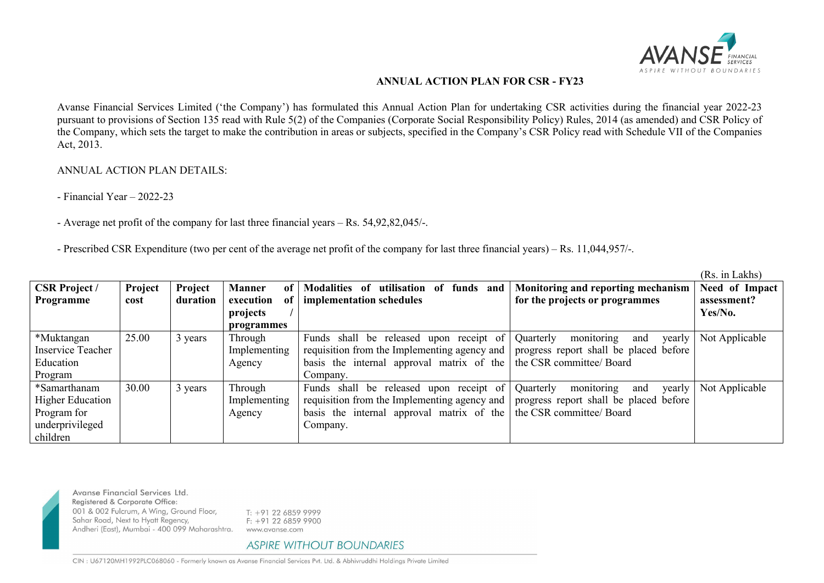

## **ANNUAL ACTION PLAN FOR CSR - FY23**

Avanse Financial Services Limited ('the Company') has formulated this Annual Action Plan for undertaking CSR activities during the financial year 2022-23 pursuant to provisions of Section 135 read with Rule 5(2) of the Companies (Corporate Social Responsibility Policy) Rules, 2014 (as amended) and CSR Policy of the Company, which sets the target to make the contribution in areas orsubjects, specified in the Company's CSR Policy read with Schedule VII of the Companies Act, 2013.

## ANNUAL ACTION PLAN DETAILS:

- Financial Year – 2022-23

- Average net profit of the company for last three financial years – Rs. 54,92,82,045/-.

- Prescribed CSR Expenditure (two per cent of the average net profit of the company for last three financial years) – Rs. 11,044,957/-.

|                          |         |          |                     |                                                                      |                                          | (Rs. in Lakhs) |
|--------------------------|---------|----------|---------------------|----------------------------------------------------------------------|------------------------------------------|----------------|
| <b>CSR Project /</b>     | Project | Project  | <b>Manner</b><br>of | utilisation of funds and<br><b>Modalities</b> of                     | Monitoring and reporting mechanism       | Need of Impact |
| Programme                | cost    | duration | execution<br>оf     | implementation schedules                                             | for the projects or programmes           | assessment?    |
|                          |         |          | projects            |                                                                      |                                          | Yes/No.        |
|                          |         |          | programmes          |                                                                      |                                          |                |
| *Muktangan               | 25.00   | 3 years  | Through             | Funds shall be released upon receipt of                              | monitoring<br>Quarterly<br>yearly<br>and | Not Applicable |
| <b>Inservice Teacher</b> |         |          | Implementing        | requisition from the Implementing agency and                         | progress report shall be placed before   |                |
| Education                |         |          | Agency              | basis the internal approval matrix of the   the CSR committee/ Board |                                          |                |
| Program                  |         |          |                     | Company.                                                             |                                          |                |
| *Samarthanam             | 30.00   | 3 years  | Through             | Funds shall be released upon receipt of                              | monitoring<br>Quarterly<br>yearly<br>and | Not Applicable |
| <b>Higher Education</b>  |         |          | Implementing        | requisition from the Implementing agency and                         | progress report shall be placed before   |                |
| Program for              |         |          | Agency              | basis the internal approval matrix of the $\vert$                    | the CSR committee/ Board                 |                |
| underprivileged          |         |          |                     | Company.                                                             |                                          |                |
| children                 |         |          |                     |                                                                      |                                          |                |



Avanse Financial Services Ltd. Registered & Corporate Office: 001 & 002 Fulcrum, A Wing, Ground Floor, Sahar Road, Next to Hyatt Regency, Andheri (East), Mumbai - 400 099 Maharashtra.

 $T: +912268599999$  $F: +912268599900$ www.avanse.com

## **ASPIRE WITHOUT BOUNDARIES**

CIN: U67120MH1992PLC068060 - Formerly known as Avanse Financial Services Pvt. Ltd. & Abhivruddhi Holdings Private Limited